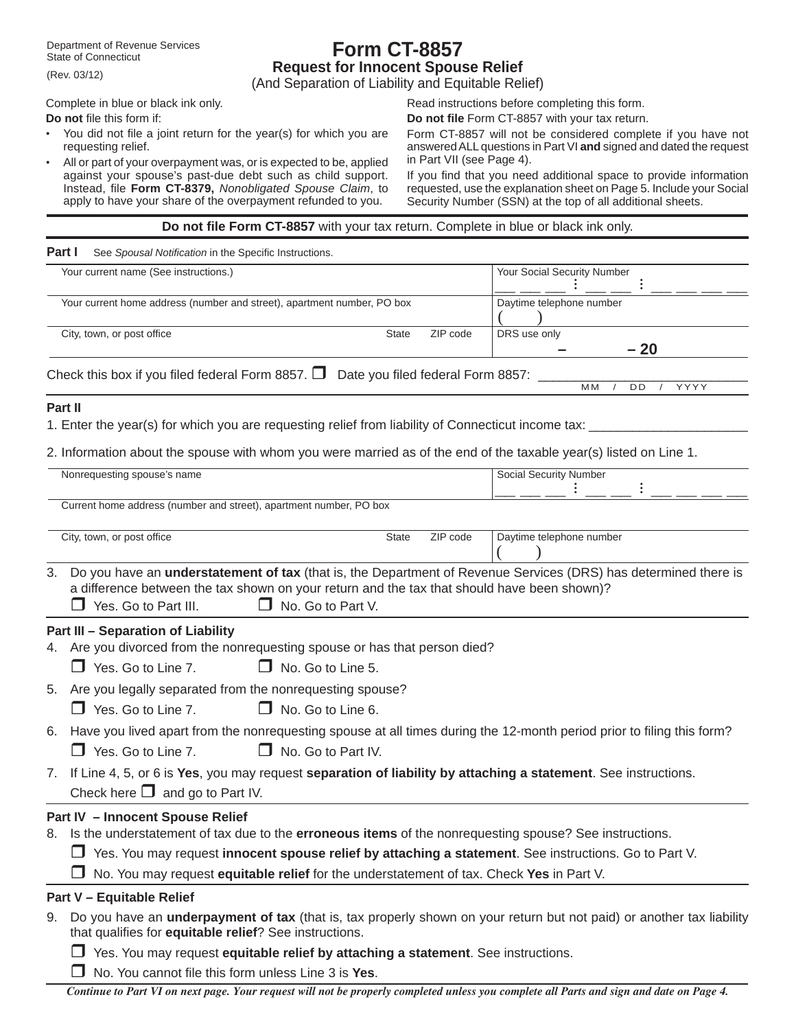Department of Revenue Services State of Connecticut

# **Form CT-8857 Request for Innocent Spouse Relief**

(And Separation of Liability and Equitable Relief)

Complete in blue or black ink only. **Do not** file this form if:

(Rev. 03/12)

- You did not file a joint return for the year(s) for which you are requesting relief.
- All or part of your overpayment was, or is expected to be, applied against your spouse's past-due debt such as child support. Instead, file **Form CT-8379,** *Nonobligated Spouse Claim*, to apply to have your share of the overpayment refunded to you.

Read instructions before completing this form.

**Do not fi le** Form CT-8857 with your tax return.

Form CT-8857 will not be considered complete if you have not answered ALL questions in Part VI **and** signed and dated the request in Part VII (see Page 4).

If you find that you need additional space to provide information requested, use the explanation sheet on Page 5. Include your Social Security Number (SSN) at the top of all additional sheets.

#### **Do not fi le Form CT-8857** with your tax return. Complete in blue or black ink only.

| See Spousal Notification in the Specific Instructions. |
|--------------------------------------------------------|
|                                                        |

| Your current name (See instructions.)                                                      |       |          | Your Social Security Number         |
|--------------------------------------------------------------------------------------------|-------|----------|-------------------------------------|
|                                                                                            |       |          |                                     |
| Your current home address (number and street), apartment number, PO box                    |       |          | Daytime telephone number            |
| City, town, or post office                                                                 | State | ZIP code | DRS use only<br>$-20$               |
| Check this box if you filed federal Form 8857. $\square$ Date you filed federal Form 8857: |       |          |                                     |
|                                                                                            |       |          | <b>MM</b><br>YYYY<br>D <sub>D</sub> |
|                                                                                            |       |          |                                     |

#### **Part II**

1. Enter the year(s) for which you are requesting relief from liability of Connecticut income tax:

2. Information about the spouse with whom you were married as of the end of the taxable year(s) listed on Line 1.

|                                | Nonrequesting spouse's name                                                                           |                                                                                                                         |          | <b>Social Security Number</b>                                                                                                |  |  |
|--------------------------------|-------------------------------------------------------------------------------------------------------|-------------------------------------------------------------------------------------------------------------------------|----------|------------------------------------------------------------------------------------------------------------------------------|--|--|
|                                | Current home address (number and street), apartment number, PO box                                    |                                                                                                                         |          |                                                                                                                              |  |  |
|                                | City, town, or post office                                                                            | <b>State</b>                                                                                                            | ZIP code | Daytime telephone number                                                                                                     |  |  |
| 3.                             | $\Box$ Yes. Go to Part III.                                                                           | a difference between the tax shown on your return and the tax that should have been shown)?<br>$\Box$ No. Go to Part V. |          | Do you have an <i>understatement of tax</i> (that is, the Department of Revenue Services (DRS) has determined there is       |  |  |
|                                | <b>Part III - Separation of Liability</b>                                                             |                                                                                                                         |          |                                                                                                                              |  |  |
| 4.                             |                                                                                                       | Are you divorced from the nonrequesting spouse or has that person died?                                                 |          |                                                                                                                              |  |  |
|                                | Yes. Go to Line 7.                                                                                    | No. Go to Line 5.                                                                                                       |          |                                                                                                                              |  |  |
|                                | 5. Are you legally separated from the nonrequesting spouse?                                           |                                                                                                                         |          |                                                                                                                              |  |  |
|                                | Yes. Go to Line 7.<br>П                                                                               | No. Go to Line 6.<br>$\Box$                                                                                             |          |                                                                                                                              |  |  |
|                                |                                                                                                       |                                                                                                                         |          | 6. Have you lived apart from the nonrequesting spouse at all times during the 12-month period prior to filing this form?     |  |  |
|                                | $\Box$ Yes. Go to Line 7.                                                                             | $\Box$<br>No. Go to Part IV.                                                                                            |          |                                                                                                                              |  |  |
| $7_{\scriptscriptstyle{\sim}}$ |                                                                                                       |                                                                                                                         |          | If Line 4, 5, or 6 is Yes, you may request separation of liability by attaching a statement. See instructions.               |  |  |
|                                | Check here $\Box$ and go to Part IV.                                                                  |                                                                                                                         |          |                                                                                                                              |  |  |
|                                | <b>Part IV - Innocent Spouse Relief</b>                                                               |                                                                                                                         |          |                                                                                                                              |  |  |
| 8.                             |                                                                                                       |                                                                                                                         |          | Is the understatement of tax due to the erroneous items of the nonrequesting spouse? See instructions.                       |  |  |
|                                | Yes. You may request innocent spouse relief by attaching a statement. See instructions. Go to Part V. |                                                                                                                         |          |                                                                                                                              |  |  |
|                                |                                                                                                       | No. You may request equitable relief for the understatement of tax. Check Yes in Part V.                                |          |                                                                                                                              |  |  |
|                                | <b>Part V - Equitable Relief</b>                                                                      |                                                                                                                         |          |                                                                                                                              |  |  |
| 9.                             | that qualifies for equitable relief? See instructions.                                                |                                                                                                                         |          | Do you have an <b>underpayment of tax</b> (that is, tax properly shown on your return but not paid) or another tax liability |  |  |
|                                | $\Box$                                                                                                | Yes. You may request equitable relief by attaching a statement. See instructions.                                       |          |                                                                                                                              |  |  |

 $\Box$  No. You cannot file this form unless Line 3 is Yes.

*Continue to Part VI on next page. Your request will not be properly completed unless you complete all Parts and sign and date on Page 4.*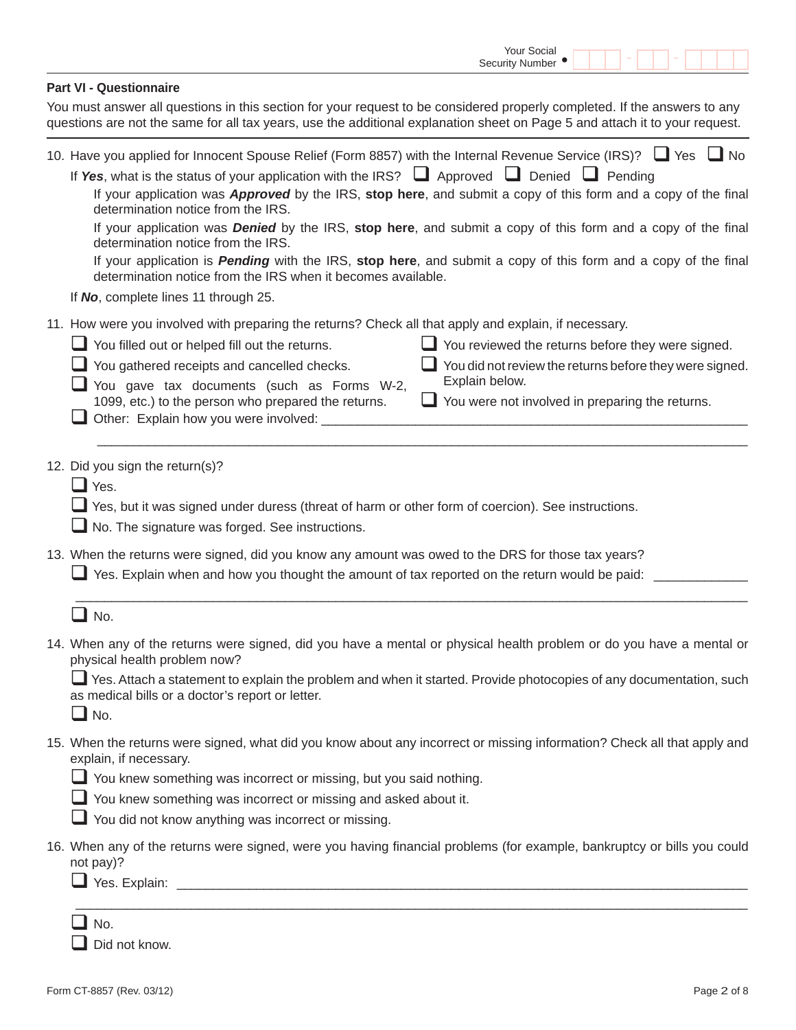|                                                                                                                                                                                                                                                                                                                                                                                                                  | Your Social<br><b>Security Number</b>                                                                                                                                                                                                                                                                                                                                 |
|------------------------------------------------------------------------------------------------------------------------------------------------------------------------------------------------------------------------------------------------------------------------------------------------------------------------------------------------------------------------------------------------------------------|-----------------------------------------------------------------------------------------------------------------------------------------------------------------------------------------------------------------------------------------------------------------------------------------------------------------------------------------------------------------------|
| <b>Part VI - Questionnaire</b>                                                                                                                                                                                                                                                                                                                                                                                   |                                                                                                                                                                                                                                                                                                                                                                       |
| You must answer all questions in this section for your request to be considered properly completed. If the answers to any<br>questions are not the same for all tax years, use the additional explanation sheet on Page 5 and attach it to your request.                                                                                                                                                         |                                                                                                                                                                                                                                                                                                                                                                       |
| 10. Have you applied for Innocent Spouse Relief (Form 8857) with the Internal Revenue Service (IRS)? □ Yes □ No<br>If Yes, what is the status of your application with the IRS? $\Box$ Approved $\Box$ Denied $\Box$ Pending<br>determination notice from the IRS.<br>determination notice from the IRS.<br>determination notice from the IRS when it becomes available.<br>If No, complete lines 11 through 25. | If your application was <b>Approved</b> by the IRS, stop here, and submit a copy of this form and a copy of the final<br>If your application was <b>Denied</b> by the IRS, stop here, and submit a copy of this form and a copy of the final<br>If your application is <b>Pending</b> with the IRS, stop here, and submit a copy of this form and a copy of the final |
| 11. How were you involved with preparing the returns? Check all that apply and explain, if necessary.                                                                                                                                                                                                                                                                                                            |                                                                                                                                                                                                                                                                                                                                                                       |
| $\Box$ You filled out or helped fill out the returns.                                                                                                                                                                                                                                                                                                                                                            | $\Box$ You reviewed the returns before they were signed.                                                                                                                                                                                                                                                                                                              |
| You gathered receipts and cancelled checks.<br>You gave tax documents (such as Forms W-2,                                                                                                                                                                                                                                                                                                                        | You did not review the returns before they were signed.<br>Explain below.                                                                                                                                                                                                                                                                                             |
| 1099, etc.) to the person who prepared the returns.<br>Other: Explain how you were involved:                                                                                                                                                                                                                                                                                                                     | You were not involved in preparing the returns.                                                                                                                                                                                                                                                                                                                       |
| 12. Did you sign the return(s)?<br>$\Box$ Yes.<br>Yes, but it was signed under duress (threat of harm or other form of coercion). See instructions.<br>No. The signature was forged. See instructions.<br>13. When the returns were signed, did you know any amount was owed to the DRS for those tax years?<br>Yes. Explain when and how you thought the amount of tax reported on the return would be paid:    |                                                                                                                                                                                                                                                                                                                                                                       |
| No.                                                                                                                                                                                                                                                                                                                                                                                                              |                                                                                                                                                                                                                                                                                                                                                                       |
| 14. When any of the returns were signed, did you have a mental or physical health problem or do you have a mental or<br>physical health problem now?                                                                                                                                                                                                                                                             |                                                                                                                                                                                                                                                                                                                                                                       |
| Yes. Attach a statement to explain the problem and when it started. Provide photocopies of any documentation, such<br>as medical bills or a doctor's report or letter.<br>$\Box$ No.                                                                                                                                                                                                                             |                                                                                                                                                                                                                                                                                                                                                                       |
| 15. When the returns were signed, what did you know about any incorrect or missing information? Check all that apply and<br>explain, if necessary.<br>You knew something was incorrect or missing, but you said nothing.                                                                                                                                                                                         |                                                                                                                                                                                                                                                                                                                                                                       |
| $\Box$ You knew something was incorrect or missing and asked about it.                                                                                                                                                                                                                                                                                                                                           |                                                                                                                                                                                                                                                                                                                                                                       |
| You did not know anything was incorrect or missing.                                                                                                                                                                                                                                                                                                                                                              |                                                                                                                                                                                                                                                                                                                                                                       |
| 16. When any of the returns were signed, were you having financial problems (for example, bankruptcy or bills you could<br>not pay)?                                                                                                                                                                                                                                                                             |                                                                                                                                                                                                                                                                                                                                                                       |
| <b>_I</b> No.<br>Did not know.                                                                                                                                                                                                                                                                                                                                                                                   |                                                                                                                                                                                                                                                                                                                                                                       |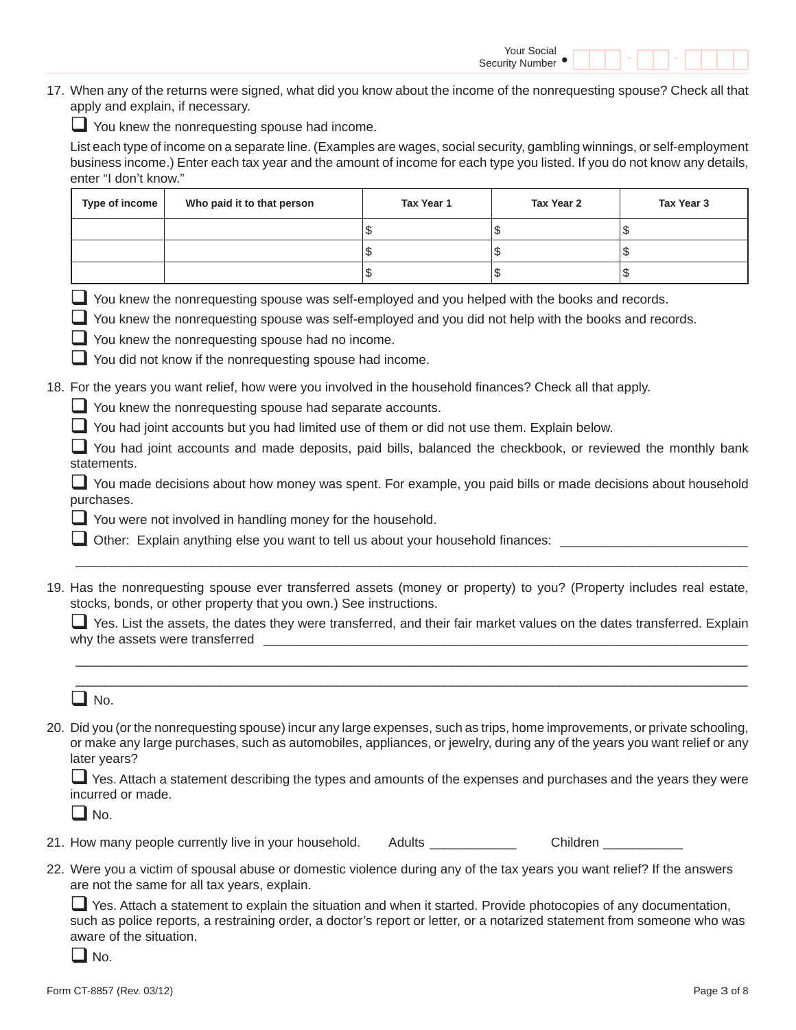17. When any of the returns were signed, what did you know about the income of the nonrequesting spouse? Check all that apply and explain, if necessary.

You knew the nonrequesting spouse had income.

 List each type of income on a separate line. (Examples are wages, social security, gambling winnings, or self-employment business income.) Enter each tax year and the amount of income for each type you listed. If you do not know any details, enter "I don't know."

| Type of income | Who paid it to that person | Tax Year 1 | Tax Year 2 | Tax Year 3 |
|----------------|----------------------------|------------|------------|------------|
|                |                            | ۰D         |            |            |
|                |                            | ึ          |            |            |
|                |                            | ۰D         |            |            |

You knew the nonrequesting spouse was self-employed and you helped with the books and records.

 $\Box$  You knew the nonrequesting spouse was self-employed and you did not help with the books and records.

 $\Box$  You knew the nonrequesting spouse had no income.

You did not know if the nonrequesting spouse had income.

18. For the years you want relief, how were you involved in the household finances? Check all that apply.

You knew the nonrequesting spouse had separate accounts.

You had joint accounts but you had limited use of them or did not use them. Explain below.

You had joint accounts and made deposits, paid bills, balanced the checkbook, or reviewed the monthly bank statements.

You made decisions about how money was spent. For example, you paid bills or made decisions about household purchases.

You were not involved in handling money for the household.

Other: Explain anything else you want to tell us about your household finances:  $\Box$ 

19. Has the nonrequesting spouse ever transferred assets (money or property) to you? (Property includes real estate, stocks, bonds, or other property that you own.) See instructions.

 $\overline{\phantom{a}}$  ,  $\overline{\phantom{a}}$  ,  $\overline{\phantom{a}}$  ,  $\overline{\phantom{a}}$  ,  $\overline{\phantom{a}}$  ,  $\overline{\phantom{a}}$  ,  $\overline{\phantom{a}}$  ,  $\overline{\phantom{a}}$  ,  $\overline{\phantom{a}}$  ,  $\overline{\phantom{a}}$  ,  $\overline{\phantom{a}}$  ,  $\overline{\phantom{a}}$  ,  $\overline{\phantom{a}}$  ,  $\overline{\phantom{a}}$  ,  $\overline{\phantom{a}}$  ,  $\overline{\phantom{a}}$  $\mathcal{L}_\text{max}$  , and the set of the set of the set of the set of the set of the set of the set of the set of the set of the set of the set of the set of the set of the set of the set of the set of the set of the set of the

 $\overline{\phantom{a}}$  ,  $\overline{\phantom{a}}$  ,  $\overline{\phantom{a}}$  ,  $\overline{\phantom{a}}$  ,  $\overline{\phantom{a}}$  ,  $\overline{\phantom{a}}$  ,  $\overline{\phantom{a}}$  ,  $\overline{\phantom{a}}$  ,  $\overline{\phantom{a}}$  ,  $\overline{\phantom{a}}$  ,  $\overline{\phantom{a}}$  ,  $\overline{\phantom{a}}$  ,  $\overline{\phantom{a}}$  ,  $\overline{\phantom{a}}$  ,  $\overline{\phantom{a}}$  ,  $\overline{\phantom{a}}$ 

 $\Box$  Yes. List the assets, the dates they were transferred, and their fair market values on the dates transferred. Explain why the assets were transferred  $\blacksquare$ 

 $\Box$  No.

20. Did you (or the nonrequesting spouse) incur any large expenses, such as trips, home improvements, or private schooling, or make any large purchases, such as automobiles, appliances, or jewelry, during any of the years you want relief or any later years?

 Yes. Attach a statement describing the types and amounts of the expenses and purchases and the years they were incurred or made.

 $\Box$  No.

|  | 21. How many people currently live in your household. |  | Adults | Children |
|--|-------------------------------------------------------|--|--------|----------|
|--|-------------------------------------------------------|--|--------|----------|

22. Were you a victim of spousal abuse or domestic violence during any of the tax years you want relief? If the answers are not the same for all tax years, explain.

 Yes. Attach a statement to explain the situation and when it started. Provide photocopies of any documentation, such as police reports, a restraining order, a doctor's report or letter, or a notarized statement from someone who was aware of the situation.

 $\blacksquare$  No.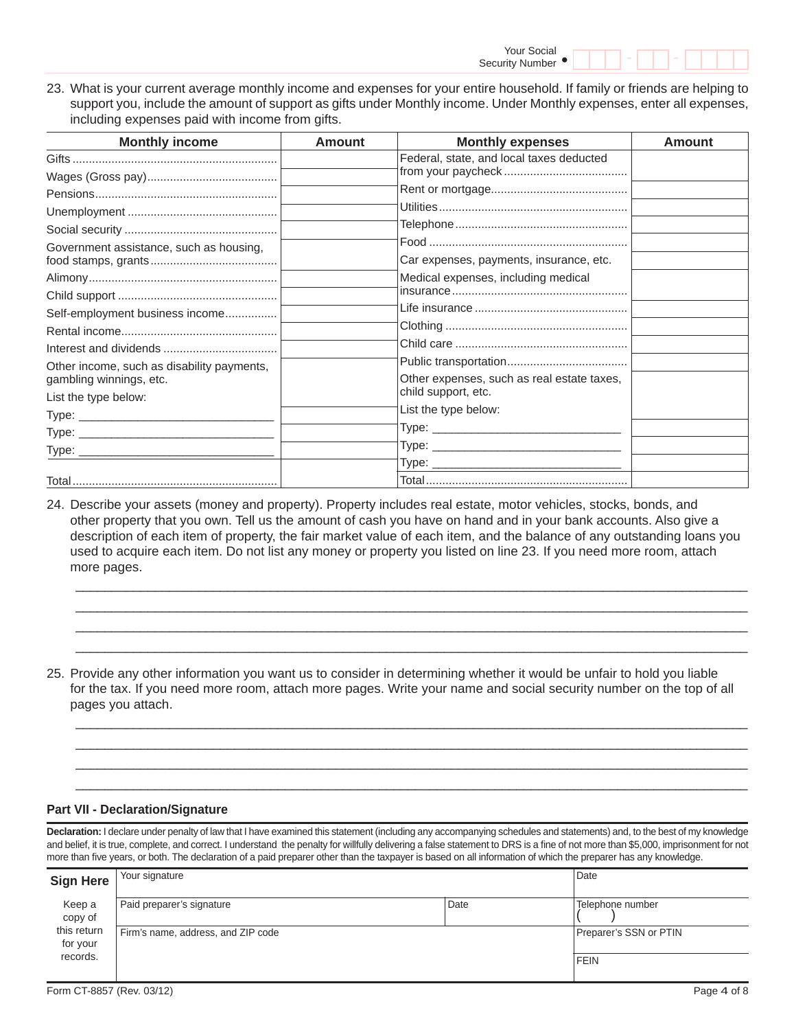23. What is your current average monthly income and expenses for your entire household. If family or friends are helping to support you, include the amount of support as gifts under Monthly income. Under Monthly expenses, enter all expenses, including expenses paid with income from gifts.

| <b>Monthly income</b>                      | <b>Amount</b> | <b>Monthly expenses</b>                    | Amount |
|--------------------------------------------|---------------|--------------------------------------------|--------|
|                                            |               | Federal, state, and local taxes deducted   |        |
|                                            |               |                                            |        |
|                                            |               |                                            |        |
|                                            |               |                                            |        |
|                                            |               |                                            |        |
| Government assistance, such as housing,    |               |                                            |        |
|                                            |               | Car expenses, payments, insurance, etc.    |        |
|                                            |               | Medical expenses, including medical        |        |
|                                            |               |                                            |        |
| Self-employment business income            |               |                                            |        |
|                                            |               |                                            |        |
|                                            |               |                                            |        |
| Other income, such as disability payments, |               |                                            |        |
| gambling winnings, etc.                    |               | Other expenses, such as real estate taxes, |        |
| List the type below:                       |               | child support, etc.                        |        |
|                                            |               | List the type below:                       |        |
|                                            |               | Type:                                      |        |
|                                            |               |                                            |        |
|                                            |               |                                            |        |
|                                            |               |                                            |        |

24. Describe your assets (money and property). Property includes real estate, motor vehicles, stocks, bonds, and other property that you own. Tell us the amount of cash you have on hand and in your bank accounts. Also give a description of each item of property, the fair market value of each item, and the balance of any outstanding loans you used to acquire each item. Do not list any money or property you listed on line 23. If you need more room, attach more pages.

 $\overline{\phantom{a}}$  ,  $\overline{\phantom{a}}$  ,  $\overline{\phantom{a}}$  ,  $\overline{\phantom{a}}$  ,  $\overline{\phantom{a}}$  ,  $\overline{\phantom{a}}$  ,  $\overline{\phantom{a}}$  ,  $\overline{\phantom{a}}$  ,  $\overline{\phantom{a}}$  ,  $\overline{\phantom{a}}$  ,  $\overline{\phantom{a}}$  ,  $\overline{\phantom{a}}$  ,  $\overline{\phantom{a}}$  ,  $\overline{\phantom{a}}$  ,  $\overline{\phantom{a}}$  ,  $\overline{\phantom{a}}$  $\overline{\phantom{a}}$  ,  $\overline{\phantom{a}}$  ,  $\overline{\phantom{a}}$  ,  $\overline{\phantom{a}}$  ,  $\overline{\phantom{a}}$  ,  $\overline{\phantom{a}}$  ,  $\overline{\phantom{a}}$  ,  $\overline{\phantom{a}}$  ,  $\overline{\phantom{a}}$  ,  $\overline{\phantom{a}}$  ,  $\overline{\phantom{a}}$  ,  $\overline{\phantom{a}}$  ,  $\overline{\phantom{a}}$  ,  $\overline{\phantom{a}}$  ,  $\overline{\phantom{a}}$  ,  $\overline{\phantom{a}}$  $\mathcal{L}_\mathcal{L} = \{ \mathcal{L}_\mathcal{L} = \{ \mathcal{L}_\mathcal{L} = \{ \mathcal{L}_\mathcal{L} = \{ \mathcal{L}_\mathcal{L} = \{ \mathcal{L}_\mathcal{L} = \{ \mathcal{L}_\mathcal{L} = \{ \mathcal{L}_\mathcal{L} = \{ \mathcal{L}_\mathcal{L} = \{ \mathcal{L}_\mathcal{L} = \{ \mathcal{L}_\mathcal{L} = \{ \mathcal{L}_\mathcal{L} = \{ \mathcal{L}_\mathcal{L} = \{ \mathcal{L}_\mathcal{L} = \{ \mathcal{L}_\mathcal{$  $\overline{\phantom{a}}$  ,  $\overline{\phantom{a}}$  ,  $\overline{\phantom{a}}$  ,  $\overline{\phantom{a}}$  ,  $\overline{\phantom{a}}$  ,  $\overline{\phantom{a}}$  ,  $\overline{\phantom{a}}$  ,  $\overline{\phantom{a}}$  ,  $\overline{\phantom{a}}$  ,  $\overline{\phantom{a}}$  ,  $\overline{\phantom{a}}$  ,  $\overline{\phantom{a}}$  ,  $\overline{\phantom{a}}$  ,  $\overline{\phantom{a}}$  ,  $\overline{\phantom{a}}$  ,  $\overline{\phantom{a}}$ 

25. Provide any other information you want us to consider in determining whether it would be unfair to hold you liable for the tax. If you need more room, attach more pages. Write your name and social security number on the top of all pages you attach.

 $\overline{\phantom{a}}$  ,  $\overline{\phantom{a}}$  ,  $\overline{\phantom{a}}$  ,  $\overline{\phantom{a}}$  ,  $\overline{\phantom{a}}$  ,  $\overline{\phantom{a}}$  ,  $\overline{\phantom{a}}$  ,  $\overline{\phantom{a}}$  ,  $\overline{\phantom{a}}$  ,  $\overline{\phantom{a}}$  ,  $\overline{\phantom{a}}$  ,  $\overline{\phantom{a}}$  ,  $\overline{\phantom{a}}$  ,  $\overline{\phantom{a}}$  ,  $\overline{\phantom{a}}$  ,  $\overline{\phantom{a}}$  $\mathcal{L}_\mathcal{L} = \{ \mathcal{L}_\mathcal{L} = \{ \mathcal{L}_\mathcal{L} = \{ \mathcal{L}_\mathcal{L} = \{ \mathcal{L}_\mathcal{L} = \{ \mathcal{L}_\mathcal{L} = \{ \mathcal{L}_\mathcal{L} = \{ \mathcal{L}_\mathcal{L} = \{ \mathcal{L}_\mathcal{L} = \{ \mathcal{L}_\mathcal{L} = \{ \mathcal{L}_\mathcal{L} = \{ \mathcal{L}_\mathcal{L} = \{ \mathcal{L}_\mathcal{L} = \{ \mathcal{L}_\mathcal{L} = \{ \mathcal{L}_\mathcal{$  $\overline{\phantom{a}}$  ,  $\overline{\phantom{a}}$  ,  $\overline{\phantom{a}}$  ,  $\overline{\phantom{a}}$  ,  $\overline{\phantom{a}}$  ,  $\overline{\phantom{a}}$  ,  $\overline{\phantom{a}}$  ,  $\overline{\phantom{a}}$  ,  $\overline{\phantom{a}}$  ,  $\overline{\phantom{a}}$  ,  $\overline{\phantom{a}}$  ,  $\overline{\phantom{a}}$  ,  $\overline{\phantom{a}}$  ,  $\overline{\phantom{a}}$  ,  $\overline{\phantom{a}}$  ,  $\overline{\phantom{a}}$  $\mathcal{L}_\mathcal{L} = \{ \mathcal{L}_\mathcal{L} = \{ \mathcal{L}_\mathcal{L} = \{ \mathcal{L}_\mathcal{L} = \{ \mathcal{L}_\mathcal{L} = \{ \mathcal{L}_\mathcal{L} = \{ \mathcal{L}_\mathcal{L} = \{ \mathcal{L}_\mathcal{L} = \{ \mathcal{L}_\mathcal{L} = \{ \mathcal{L}_\mathcal{L} = \{ \mathcal{L}_\mathcal{L} = \{ \mathcal{L}_\mathcal{L} = \{ \mathcal{L}_\mathcal{L} = \{ \mathcal{L}_\mathcal{L} = \{ \mathcal{L}_\mathcal{$ 

#### **Part VII - Declaration/Signature**

**Declaration:** I declare under penalty of law that I have examined this statement (including any accompanying schedules and statements) and, to the best of my knowledge and belief, it is true, complete, and correct. I understand the penalty for willfully delivering a false statement to DRS is a fine of not more than \$5,000, imprisonment for not more than five years, or both. The declaration of a paid preparer other than the taxpayer is based on all information of which the preparer has any knowledge.

| <b>Sign Here</b>        | Your signature                     | Date |                        |
|-------------------------|------------------------------------|------|------------------------|
| Keep a<br>copy of       | Paid preparer's signature          | Date | Telephone number       |
| this return<br>for your | Firm's name, address, and ZIP code |      | Preparer's SSN or PTIN |
| records.                |                                    |      | <b>FEIN</b>            |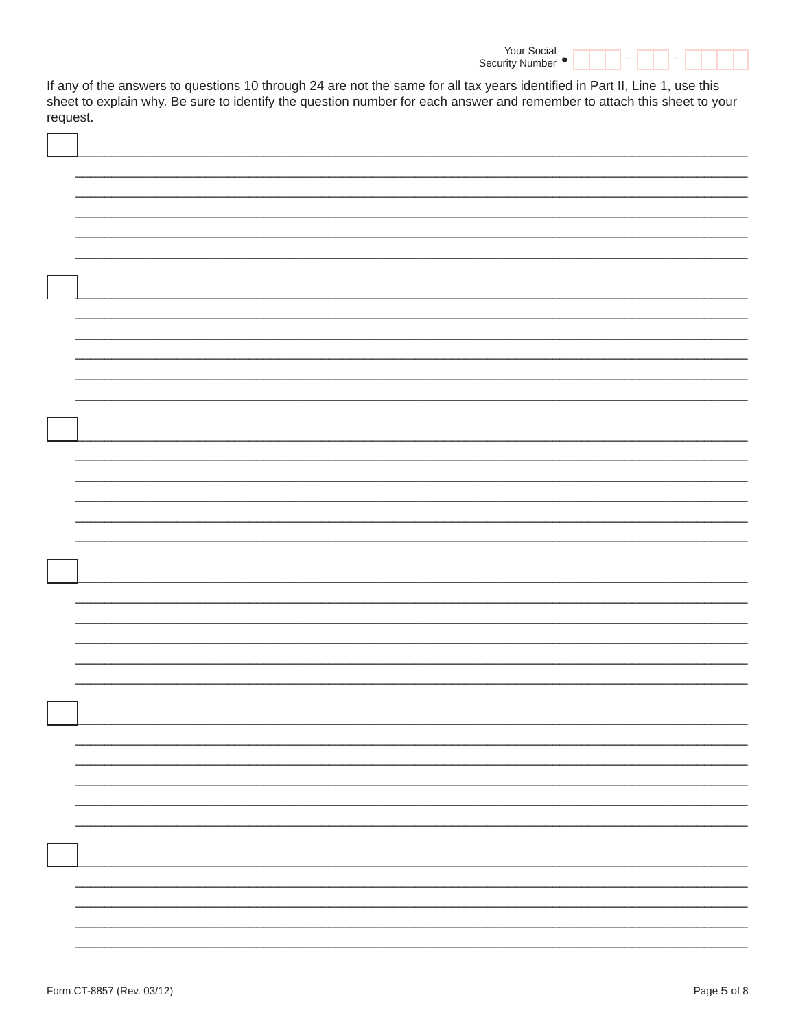| Your Social       |  |  |  |
|-------------------|--|--|--|
| Security Number • |  |  |  |

If any of the answers to questions 10 through 24 are not the same for all tax years identified in Part II, Line 1, use this sheet to explain why. Be sure to identify the question number for each answer and remember to attach this sheet to your request.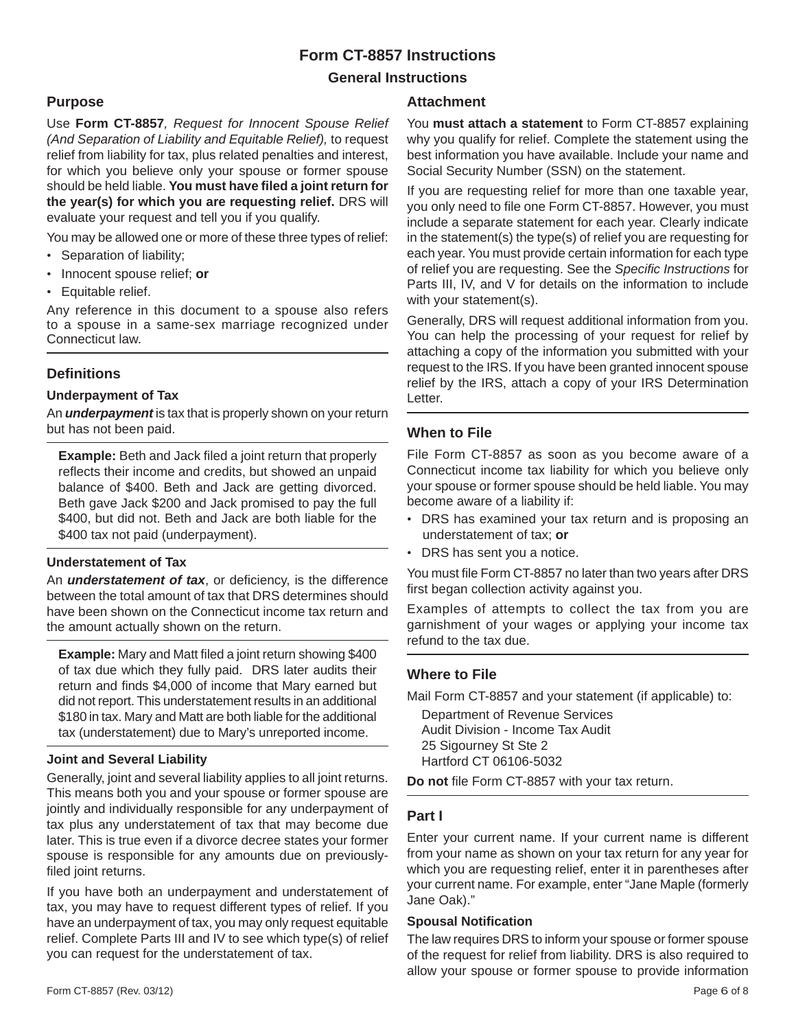# **Form CT-8857 Instructions**

# **General Instructions**

# **Purpose**

Use **Form CT-8857***, Request for Innocent Spouse Relief (And Separation of Liability and Equitable Relief),* to request relief from liability for tax, plus related penalties and interest, for which you believe only your spouse or former spouse should be held liable. You must have filed a joint return for **the year(s) for which you are requesting relief.** DRS will evaluate your request and tell you if you qualify.

You may be allowed one or more of these three types of relief:

- Separation of liability;
- Innocent spouse relief; **or**
- Equitable relief.

Any reference in this document to a spouse also refers to a spouse in a same-sex marriage recognized under Connecticut law.

# **Defi nitions**

### **Underpayment of Tax**

An **underpayment** is tax that is properly shown on your return but has not been paid.

**Example:** Beth and Jack filed a joint return that properly reflects their income and credits, but showed an unpaid balance of \$400. Beth and Jack are getting divorced. Beth gave Jack \$200 and Jack promised to pay the full \$400, but did not. Beth and Jack are both liable for the \$400 tax not paid (underpayment).

## **Understatement of Tax**

An *understatement of tax*, or deficiency, is the difference between the total amount of tax that DRS determines should have been shown on the Connecticut income tax return and the amount actually shown on the return.

**Example:** Mary and Matt filed a joint return showing \$400 of tax due which they fully paid. DRS later audits their return and finds \$4,000 of income that Mary earned but did not report. This understatement results in an additional \$180 in tax. Mary and Matt are both liable for the additional tax (understatement) due to Mary's unreported income.

## **Joint and Several Liability**

Generally, joint and several liability applies to all joint returns. This means both you and your spouse or former spouse are jointly and individually responsible for any underpayment of tax plus any understatement of tax that may become due later. This is true even if a divorce decree states your former spouse is responsible for any amounts due on previouslyfiled joint returns.

If you have both an underpayment and understatement of tax, you may have to request different types of relief. If you have an underpayment of tax, you may only request equitable relief. Complete Parts III and IV to see which type(s) of relief you can request for the understatement of tax.

#### **Attachment**

You **must attach a statement** to Form CT-8857 explaining why you qualify for relief. Complete the statement using the best information you have available. Include your name and Social Security Number (SSN) on the statement.

If you are requesting relief for more than one taxable year, you only need to file one Form CT-8857. However, you must include a separate statement for each year. Clearly indicate in the statement(s) the type(s) of relief you are requesting for each year. You must provide certain information for each type of relief you are requesting. See the *Specifi c Instructions* for Parts III, IV, and V for details on the information to include with your statement(s).

Generally, DRS will request additional information from you. You can help the processing of your request for relief by attaching a copy of the information you submitted with your request to the IRS. If you have been granted innocent spouse relief by the IRS, attach a copy of your IRS Determination Letter.

# **When to File**

File Form CT-8857 as soon as you become aware of a Connecticut income tax liability for which you believe only your spouse or former spouse should be held liable. You may become aware of a liability if:

- DRS has examined your tax return and is proposing an understatement of tax; **or**
- DRS has sent you a notice.

You must file Form CT-8857 no later than two years after DRS first began collection activity against you.

Examples of attempts to collect the tax from you are garnishment of your wages or applying your income tax refund to the tax due.

# **Where to File**

Mail Form CT-8857 and your statement (if applicable) to:

 Department of Revenue Services Audit Division - Income Tax Audit 25 Sigourney St Ste 2 Hartford CT 06106-5032

Do not file Form CT-8857 with your tax return.

# **Part I**

Enter your current name. If your current name is different from your name as shown on your tax return for any year for which you are requesting relief, enter it in parentheses after your current name. For example, enter "Jane Maple (formerly Jane Oak)."

#### **Spousal Notification**

The law requires DRS to inform your spouse or former spouse of the request for relief from liability. DRS is also required to allow your spouse or former spouse to provide information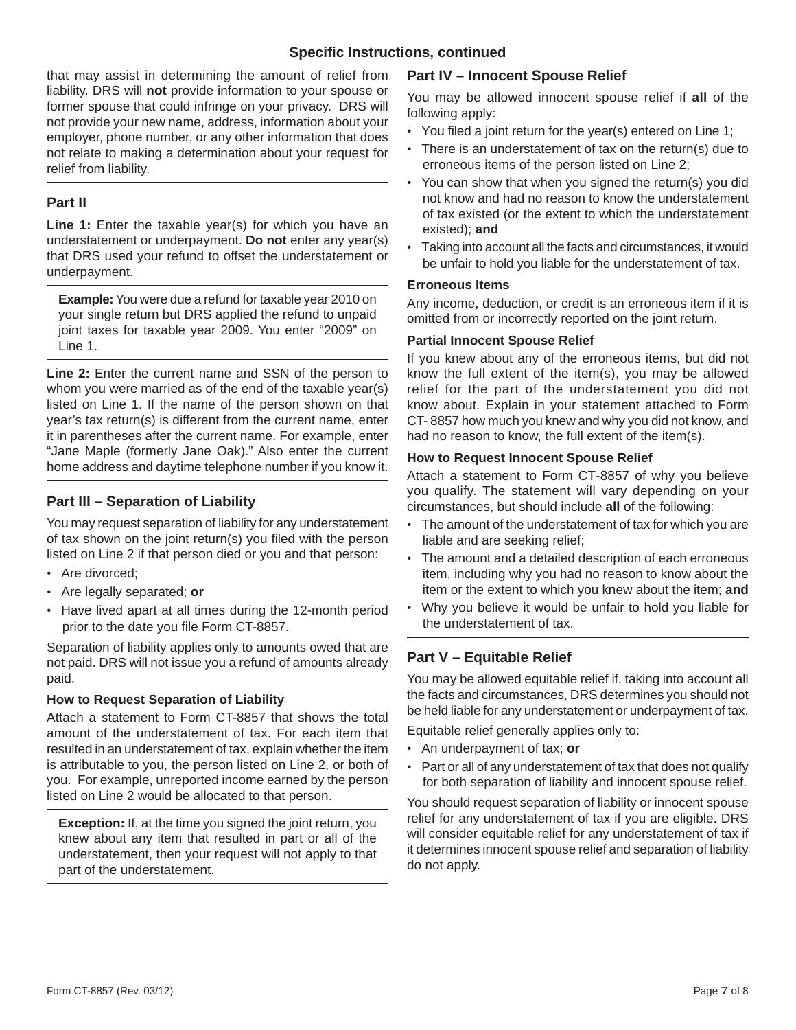## **Specifi c Instructions, continued**

that may assist in determining the amount of relief from liability. DRS will **not** provide information to your spouse or former spouse that could infringe on your privacy. DRS will not provide your new name, address, information about your employer, phone number, or any other information that does not relate to making a determination about your request for relief from liability.

## **Part II**

Line 1: Enter the taxable year(s) for which you have an understatement or underpayment. **Do not** enter any year(s) that DRS used your refund to offset the understatement or underpayment.

**Example:** You were due a refund for taxable year 2010 on your single return but DRS applied the refund to unpaid joint taxes for taxable year 2009. You enter "2009" on Line 1.

**Line 2:** Enter the current name and SSN of the person to whom you were married as of the end of the taxable year(s) listed on Line 1. If the name of the person shown on that year's tax return(s) is different from the current name, enter it in parentheses after the current name. For example, enter "Jane Maple (formerly Jane Oak)." Also enter the current home address and daytime telephone number if you know it.

# **Part III – Separation of Liability**

You may request separation of liability for any understatement of tax shown on the joint return(s) you filed with the person listed on Line 2 if that person died or you and that person:

- Are divorced;
- Are legally separated; **or**
- Have lived apart at all times during the 12-month period prior to the date you file Form CT-8857.

Separation of liability applies only to amounts owed that are not paid. DRS will not issue you a refund of amounts already paid.

## **How to Request Separation of Liability**

Attach a statement to Form CT-8857 that shows the total amount of the understatement of tax. For each item that resulted in an understatement of tax, explain whether the item is attributable to you, the person listed on Line 2, or both of you. For example, unreported income earned by the person listed on Line 2 would be allocated to that person.

**Exception:** If, at the time you signed the joint return, you knew about any item that resulted in part or all of the understatement, then your request will not apply to that part of the understatement.

## **Part IV – Innocent Spouse Relief**

You may be allowed innocent spouse relief if **all** of the following apply:

- You filed a joint return for the year(s) entered on Line 1;
- There is an understatement of tax on the return(s) due to erroneous items of the person listed on Line 2;
- You can show that when you signed the return(s) you did not know and had no reason to know the understatement of tax existed (or the extent to which the understatement existed); **and**
- Taking into account all the facts and circumstances, it would be unfair to hold you liable for the understatement of tax.

#### **Erroneous Items**

Any income, deduction, or credit is an erroneous item if it is omitted from or incorrectly reported on the joint return.

### **Partial Innocent Spouse Relief**

If you knew about any of the erroneous items, but did not know the full extent of the item(s), you may be allowed relief for the part of the understatement you did not know about. Explain in your statement attached to Form CT- 8857 how much you knew and why you did not know, and had no reason to know, the full extent of the item(s).

### **How to Request Innocent Spouse Relief**

Attach a statement to Form CT-8857 of why you believe you qualify. The statement will vary depending on your circumstances, but should include **all** of the following:

- The amount of the understatement of tax for which you are liable and are seeking relief;
- The amount and a detailed description of each erroneous item, including why you had no reason to know about the item or the extent to which you knew about the item; **and**
- Why you believe it would be unfair to hold you liable for the understatement of tax.

# **Part V – Equitable Relief**

You may be allowed equitable relief if, taking into account all the facts and circumstances, DRS determines you should not be held liable for any understatement or underpayment of tax.

Equitable relief generally applies only to:

- An underpayment of tax; **or**
- Part or all of any understatement of tax that does not qualify for both separation of liability and innocent spouse relief.

You should request separation of liability or innocent spouse relief for any understatement of tax if you are eligible. DRS will consider equitable relief for any understatement of tax if it determines innocent spouse relief and separation of liability do not apply.